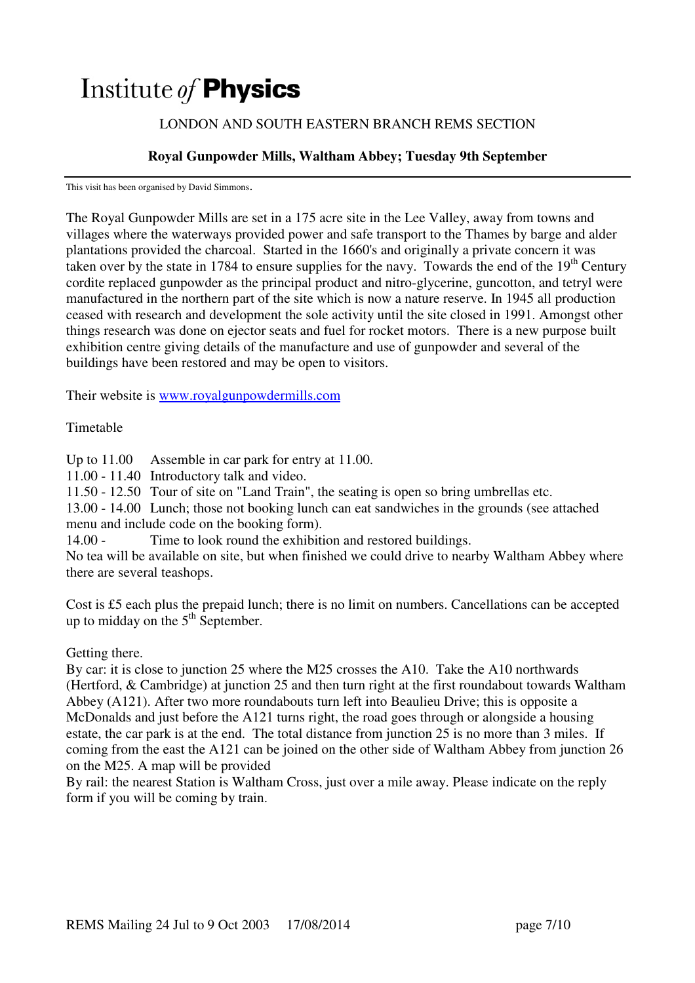# Institute of **Physics**

### LONDON AND SOUTH EASTERN BRANCH REMS SECTION

## **Royal Gunpowder Mills, Waltham Abbey; Tuesday 9th September**

This visit has been organised by David Simmons.

The Royal Gunpowder Mills are set in a 175 acre site in the Lee Valley, away from towns and villages where the waterways provided power and safe transport to the Thames by barge and alder plantations provided the charcoal. Started in the 1660's and originally a private concern it was taken over by the state in 1784 to ensure supplies for the navy. Towards the end of the  $19<sup>th</sup>$  Century cordite replaced gunpowder as the principal product and nitro-glycerine, guncotton, and tetryl were manufactured in the northern part of the site which is now a nature reserve. In 1945 all production ceased with research and development the sole activity until the site closed in 1991. Amongst other things research was done on ejector seats and fuel for rocket motors. There is a new purpose built exhibition centre giving details of the manufacture and use of gunpowder and several of the buildings have been restored and may be open to visitors.

Their website is www.royalgunpowdermills.com

#### Timetable

Up to  $11.00$  Assemble in car park for entry at 11.00.

11.00 - 11.40 Introductory talk and video.

11.50 - 12.50 Tour of site on "Land Train", the seating is open so bring umbrellas etc.

13.00 - 14.00 Lunch; those not booking lunch can eat sandwiches in the grounds (see attached menu and include code on the booking form).

14.00 - Time to look round the exhibition and restored buildings.

No tea will be available on site, but when finished we could drive to nearby Waltham Abbey where there are several teashops.

Cost is £5 each plus the prepaid lunch; there is no limit on numbers. Cancellations can be accepted up to midday on the  $5<sup>th</sup>$  September.

Getting there.

By car: it is close to junction 25 where the M25 crosses the A10. Take the A10 northwards (Hertford, & Cambridge) at junction 25 and then turn right at the first roundabout towards Waltham Abbey (A121). After two more roundabouts turn left into Beaulieu Drive; this is opposite a McDonalds and just before the A121 turns right, the road goes through or alongside a housing estate, the car park is at the end. The total distance from junction 25 is no more than 3 miles. If coming from the east the A121 can be joined on the other side of Waltham Abbey from junction 26 on the M25. A map will be provided

By rail: the nearest Station is Waltham Cross, just over a mile away. Please indicate on the reply form if you will be coming by train.